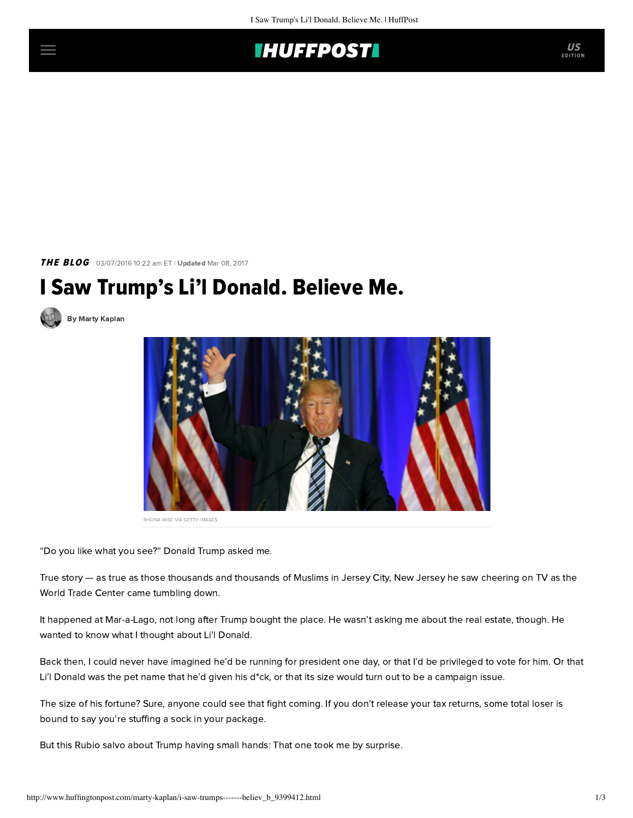

THE BLOG 03/07/2016 10:22 am ET | Updated Mar 08, 2017

## I Saw Trump's Li'l Donald. Believe Me.



[By Marty Kaplan](http://www.huffingtonpost.com/author/marty-kaplan)



RHONA WISE VIA GETTY IMAGES

"Do you like what you see?" Donald Trump asked me.

True story — as true as those thousands and thousands of Muslims in Jersey City, New Jersey he saw cheering on TV as the World Trade Center came tumbling down.

It happened at Mar-a-Lago, not long after Trump bought the place. He wasn't asking me about the real estate, though. He wanted to know what I thought about Li'l Donald.

Back then, I could never have imagined he'd be running for president one day, or that I'd be privileged to vote for him. Or that Li'l Donald was the pet name that he'd given his d\*ck, or that its size would turn out to be a campaign issue.

The size of his fortune? Sure, anyone could see that fight coming. If you don't release your tax returns, some total loser is bound to say you're stuffing a sock in your package.

But this Rubio salvo about Trump having small hands: That one took me by surprise.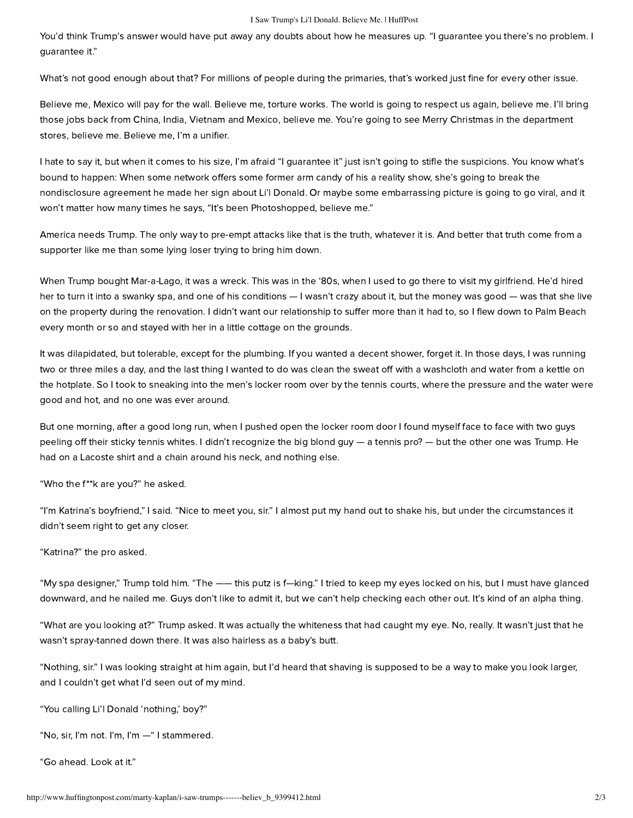## I Saw Trump's Li'l Donald. Believe Me. | HuffPost

You'd think Trump's answer would have put away any doubts about how he measures up. "I guarantee you there's no problem. I guarantee it."

What's not good enough about that? For millions of people during the primaries, that's worked just fine for every other issue.

Believe me, Mexico will pay for the wall. Believe me, torture works. The world is going to respect us again, believe me. I'll bring those jobs back from China, India, Vietnam and Mexico, believe me. You're going to see Merry Christmas in the department stores, believe me. Believe me, I'm a unifier.

I hate to say it, but when it comes to his size, I'm afraid "I guarantee it" just isn't going to stifle the suspicions. You know what's bound to happen: When some network offers some former arm candy of his a reality show, she's going to break the nondisclosure agreement he made her sign about Li'l Donald. Or maybe some embarrassing picture is going to go viral, and it won't matter how many times he says, "It's been Photoshopped, believe me."

America needs Trump. The only way to pre-empt attacks like that is the truth, whatever it is. And better that truth come from a supporter like me than some lying loser trying to bring him down.

When Trump bought Mar-a-Lago, it was a wreck. This was in the '80s, when I used to go there to visit my girlfriend. He'd hired her to turn it into a swanky spa, and one of his conditions — I wasn't crazy about it, but the money was good — was that she live on the property during the renovation. I didn't want our relationship to suffer more than it had to, so I flew down to Palm Beach every month or so and stayed with her in a little cottage on the grounds.

It was dilapidated, but tolerable, except for the plumbing. If you wanted a decent shower, forget it. In those days, I was running two or three miles a day, and the last thing I wanted to do was clean the sweat off with a washcloth and water from a kettle on the hotplate. So I took to sneaking into the men's locker room over by the tennis courts, where the pressure and the water were good and hot, and no one was ever around.

But one morning, after a good long run, when I pushed open the locker room door I found myself face to face with two guys peeling off their sticky tennis whites. I didn't recognize the big blond guy — a tennis pro? — but the other one was Trump. He had on a Lacoste shirt and a chain around his neck, and nothing else.

"Who the f\*\*k are you?" he asked.

"I'm Katrina's boyfriend," I said. "Nice to meet you, sir." I almost put my hand out to shake his, but under the circumstances it didn't seem right to get any closer.

"Katrina?" the pro asked.

"My spa designer," Trump told him. "The —— this putz is f—king." I tried to keep my eyes locked on his, but I must have glanced downward, and he nailed me. Guys don't like to admit it, but we can't help checking each other out. It's kind of an alpha thing.

"What are you looking at?" Trump asked. It was actually the whiteness that had caught my eye. No, really. It wasn't just that he wasn't spray-tanned down there. It was also hairless as a baby's butt.

"Nothing, sir." I was looking straight at him again, but I'd heard that shaving is supposed to be a way to make you look larger, and I couldn't get what I'd seen out of my mind.

"You calling Li'l Donald 'nothing,' boy?"

"No, sir, I'm not. I'm, I'm —" I stammered.

"Go ahead. Look at it."